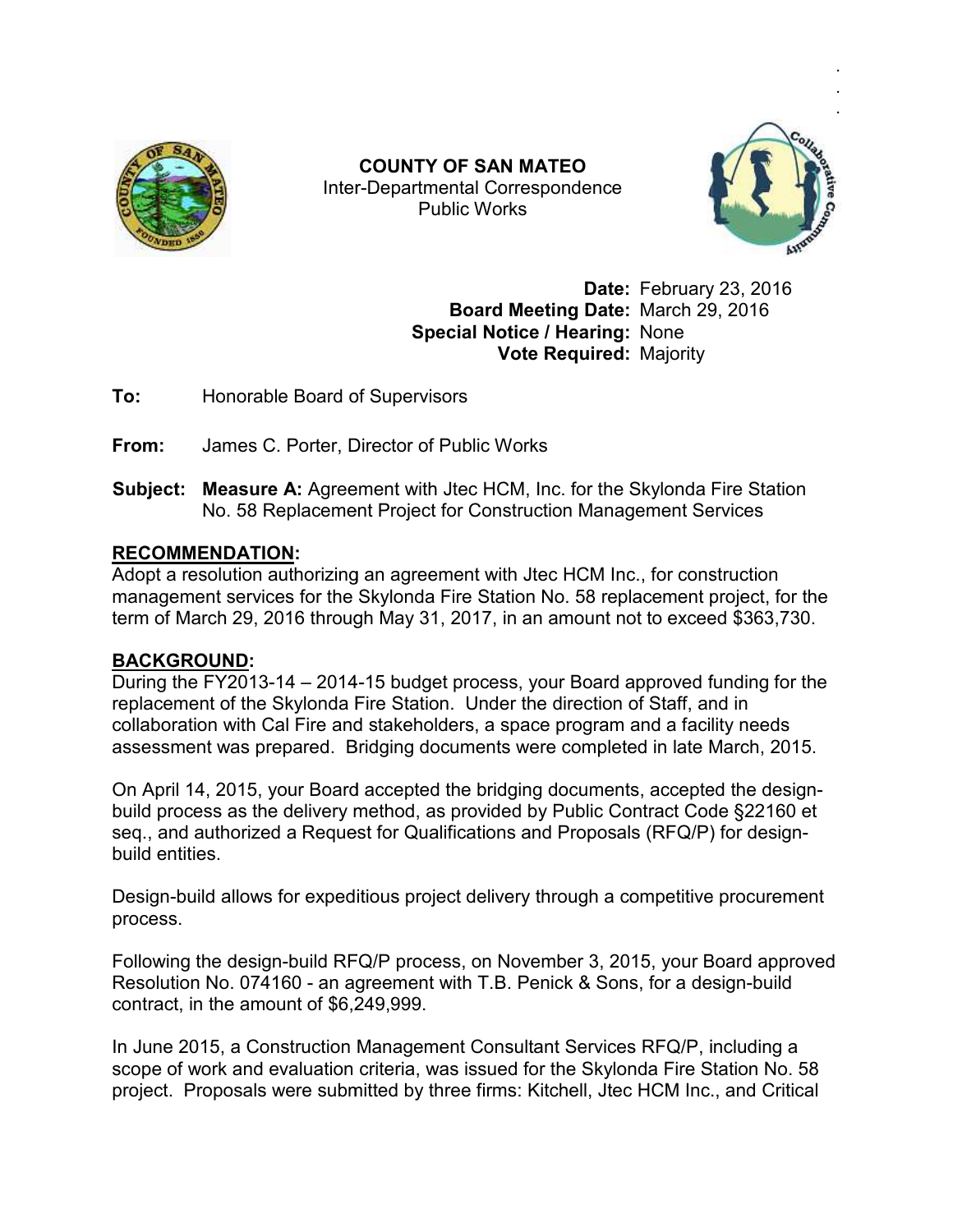

Inter Inter-Departmental Correspondence **COUNTY OF SAN MATEO**  Public Works



.

**Date: February 23, 2016<br><b>Date: March 29, 2016 Board Meeting Date:** March 29, 2016 **Special Notice / Hearing:** None **Vote Required:** Majority

**To:** Honorable Board of Supervisors

**From:** James C. Porter, Director of Public Works

**To:** Monorable Board of Supervisors<br>**From:** James C. Porter, Director of Public Works<br>**Subject: Measure A:** Agreement with Jtec HCM, Inc. for the Skylonda Fire Station No. 58 Replacement Project for Construction Management Services

## **RECOMMENDATION:**

No. 58 Replacement Project for Construction Management Services<br>RECOMMENDATION:<br>Adopt a resolution authorizing an agreement with Jtec HCM Inc., for construction management services for the Skylonda Fire Station No. 58 replacement project, for the term of March 29, 2016 through May 31, 2017, in an amount not to exceed \$363,730 \$363,730. management services for the Skylonda Fire Station No. 58 replacement project, for the<br>term of March 29, 2016 through May 31, 2017, in an amount not to exceed \$363,730.<br>**BACKGROUND:**<br>During the FY2013-14 – 2014-15 budget pr

## **BACKGROUND:**

replacement of the Skylonda Fire Station. Under the direction of Staff, and in collaboration with Cal Fire and stakeholders, a space program and a facility needs During the FY2013-14 – 2014-15 budget process, your Board approved funding for the<br>replacement of the Skylonda Fire Station. Under the direction of Staff, and in<br>collaboration with Cal Fire and stakeholders, a space progra replacement of the Skylonda Fire Station. Under the direction of Staff, and in<br>collaboration with Cal Fire and stakeholders, a space program and a facility ne<br>assessment was prepared. Bridging documents were completed in

On April 14, 2015, your Board accepted the bridging documents, accepted the designbuild process as the delivery method, as provided by Public Contract Code §22160 et seq., and authorized a Request for Qualifications and Proposals (RFQ/P) for designbuild entities.

Design-build allows for expeditious project delivery through a competitive procurement process. Design-build allows for expeditious project delivery through a competitive procurement<br>process.<br>Following the design-build RFQ/P process, on November 3, 2015, your Board approved

Resolution No. 074160 - an agreement with T.B. Penick & Sons, for a design-build contract, in the amount of \$6,249,999.

In June 2015, a Construction Management Consultant Services RFQ/P, including a contract, in the amount of \$6,249,999.<br>In June 2015, a Construction Management Consultant Services RFQ/P, including a<br>scope of work and evaluation criteria, was issued for the Skylonda Fire Station No. 58 scope of work and evaluation criteria, was issued for the Skylonda Fire Station No. 58<br>project. Proposals were submitted by three firms: Kitchell, Jtec HCM Inc., and Critical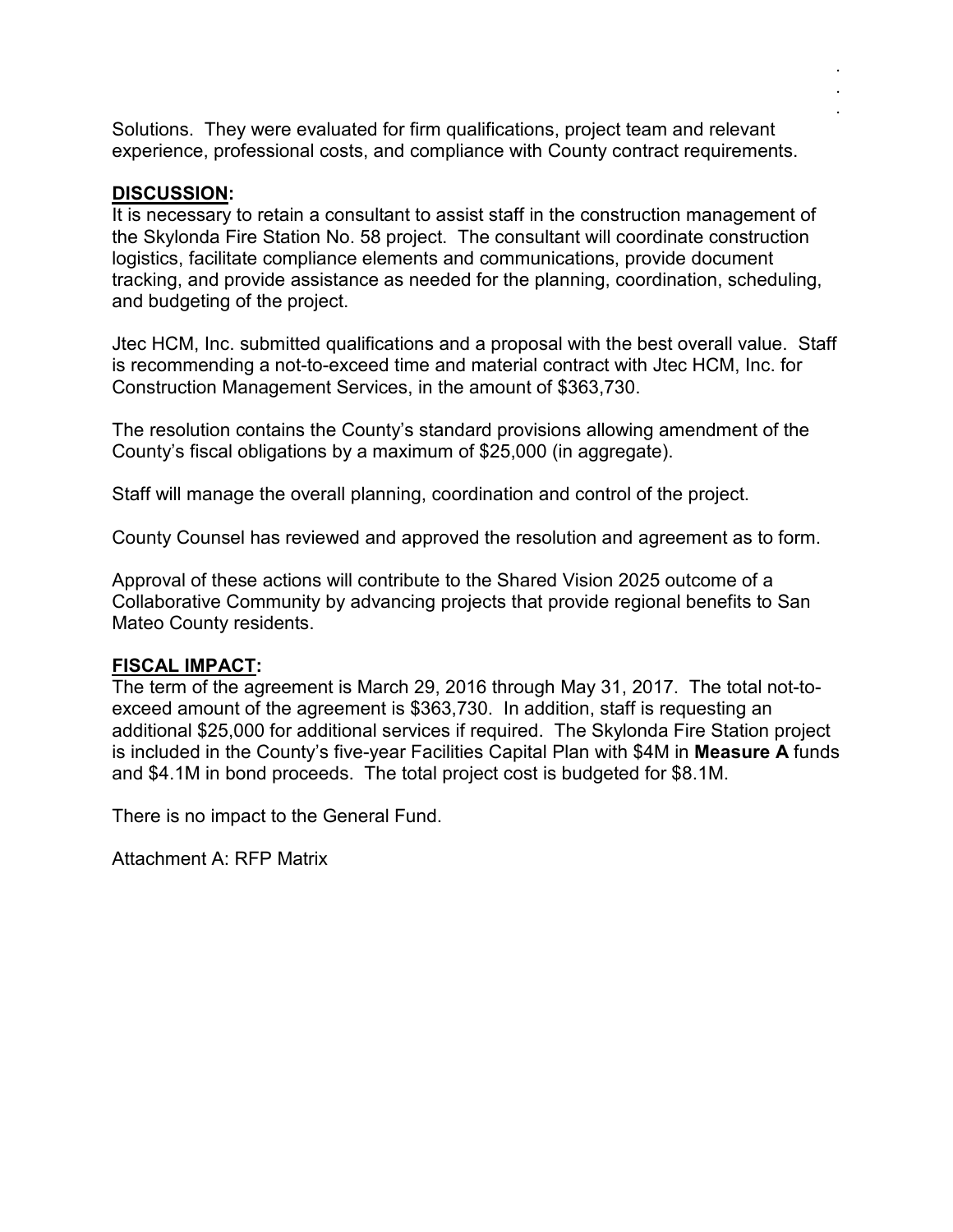Solutions. They were evaluated for firm qualifications, project team and relevant experience, professional costs, and compliance with County contract requirements. . . .

## **DISCUSSION:**

It is necessary to retain a consultant to assist staff in the construction management of the Skylonda Fire Station No. 58 project. The consultant will coordinate construction logistics, facilitate compliance elements and communications, provide document tracking, and provide assistance as needed for the planning, coordination, scheduling, and budgeting of the project.

Jtec HCM, Inc. submitted qualifications and a proposal with the best overall value. Staff is recommending a not-to-exceed time and material contract with Jtec HCM, Inc. for Construction Management Services, in the amount of \$363,730.

The resolution contains the County's standard provisions allowing amendment of the County's fiscal obligations by a maximum of \$25,000 (in aggregate).

Staff will manage the overall planning, coordination and control of the project.

County Counsel has reviewed and approved the resolution and agreement as to form.

Approval of these actions will contribute to the Shared Vision 2025 outcome of a Collaborative Community by advancing projects that provide regional benefits to San Mateo County residents.

## **FISCAL IMPACT:**

The term of the agreement is March 29, 2016 through May 31, 2017. The total not-toexceed amount of the agreement is \$363,730. In addition, staff is requesting an additional \$25,000 for additional services if required. The Skylonda Fire Station project is included in the County's five-year Facilities Capital Plan with \$4M in **Measure A** funds and \$4.1M in bond proceeds. The total project cost is budgeted for \$8.1M.

There is no impact to the General Fund.

Attachment A: RFP Matrix